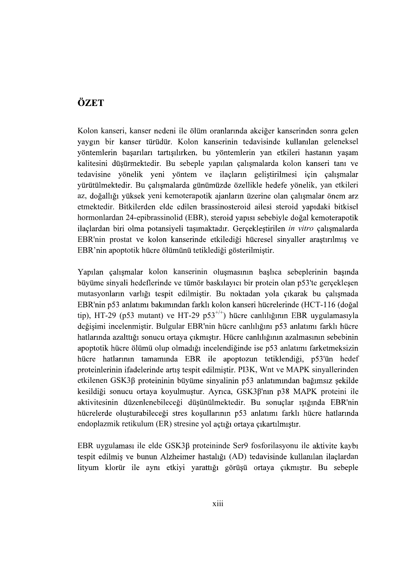## ÖZET

Kolon kanseri, kanser nedeni ile ölüm oranlarında akciğer kanserinden sonra gelen yaygın bir kanser türüdür. Kolon kanserinin tedavisinde kullanılan geleneksel yöntemlerin başarıları tartışılırken, bu yöntemlerin yan etkileri hastanın yaşam kalitesini düşürmektedir. Bu sebeple yapılan çalışmalarda kolon kanseri tanı ve tedavisine yönelik yeni yöntem ve ilaçların geliştirilmesi için çalışmalar yürütülmektedir. Bu çalışmalarda günümüzde özellikle hedefe yönelik, yan etkileri az, doğallığı yüksek yeni kemoterapotik ajanların üzerine olan çalışmalar önem arz etmektedir. Bitkilerden elde edilen brassinosteroid ailesi steroid vapıdaki bitkisel hormonlardan 24-epibrassinolid (EBR), steroid yapısı sebebiyle doğal kemoterapotik ilaclardan biri olma potansiyeli taşımaktadır. Gerçekleştirilen in vitro çalışmalarda EBR'nin prostat ve kolon kanserinde etkilediği hücresel sinyaller arastırılmış ve EBR'nin apoptotik hücre ölümünü tetiklediği gösterilmiştir.

Yapılan çalışmalar kolon kanserinin oluşmasının başlıca sebeplerinin başında büyüme sinyali hedeflerinde ve tümör baskılayıcı bir protein olan p53'te gerçekleşen mutasyonların varlığı tespit edilmiştir. Bu noktadan yola çıkarak bu çalışmada EBR'nin p53 anlatımı bakımından farklı kolon kanseri hücrelerinde (HCT-116 (doğal tip), HT-29 (p53 mutant) ve HT-29 p53<sup>+/+</sup>) hücre canlılığının EBR uygulamasıyla değisimi incelenmistir. Bulgular EBR'nin hücre canlılığını p53 anlatımı farklı hücre hatlarında azalttığı sonucu ortaya çıkmıştır. Hücre canlılığının azalmasının sebebinin apoptotik hücre ölümü olup olmadığı incelendiğinde ise p53 anlatımı farketmeksizin hücre hatlarının tamamında EBR ile apoptozun tetiklendiği, p53'ün hedef proteinlerinin ifadelerinde artış tespit edilmiştir. PI3K, Wnt ve MAPK sinyallerinden etkilenen GSK3 $\beta$  proteininin büyüme sinyalinin p53 anlatımından bağımsız şekilde kesildiği sonucu ortaya koyulmuştur. Ayrıca, GSK3B'nın p38 MAPK proteini ile aktivitesinin düzenlenebileceği düşünülmektedir. Bu sonuçlar ışığında EBR'nin hücrelerde oluşturabileceği stres koşullarının p53 anlatımı farklı hücre hatlarında endoplazmik retikulum (ER) stresine yol açtığı ortaya çıkartılmıştır.

EBR uygulaması ile elde GSK3 $\beta$  proteininde Ser9 fosforilasyonu ile aktivite kaybı tespit edilmiş ve bunun Alzheimer hastalığı (AD) tedavisinde kullanılan ilaçlardan lityum klorür ile aynı etkiyi yarattığı görüşü ortaya çıkmıştır. Bu sebeple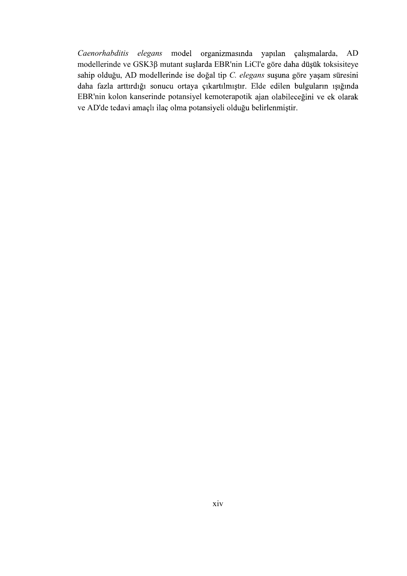Caenorhabditis elegans model organizmasında yapılan çalışmalarda, AD modellerinde ve GSK3 $\beta$  mutant suşlarda EBR'nin LiCl'e göre daha düşük toksisiteye sahip olduğu, AD modellerinde ise doğal tip C. elegans suşuna göre yaşam süresini daha fazla arttırdığı sonucu ortaya çıkartılmıştır. Elde edilen bulguların ışığında EBR'nin kolon kanserinde potansiyel kemoterapotik ve AD'de tedavi amaçlı ilaç olma potansiyeli olduğu belirlenmiştir.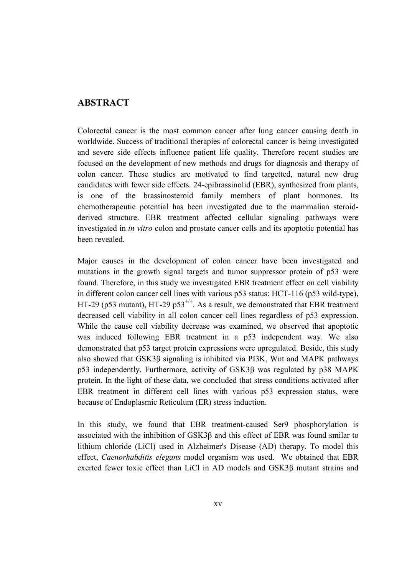## ABSTRACT

Colorectal cancer is the most common cancer after lung cancer causing death in worldwide. Success of traditional therapies of colorectal cancer is being investigated and severe side effects influence patient life quality. Therefore recent studies are focused on the development of new methods and drugs for diagnosis and therapy of colon cancer. These studies are motivated to find targetted, natural new drug candidates with fewer side effects. 24-epibrassinolid (EBR), synthesized from plants, is one of the brassinosteroid family members of plant hormones. Its chemotherapeutic potential has been investigated due to the mammalian steroidderived structure. EBR treatment affected cellular signaling pathways were investigated in in vitro colon and prostate cancer cells and its apoptotic potential has been revealed.

Major causes in the development of colon cancer have been investigated and mutations in the growth signal targets and tumor suppressor protein of p53 were found. Therefore, in this study we investigated EBR treatment effect on cell viability in different colon cancer cell lines with various p53 status: HCT-116 (p53 wild-type), HT-29 (p53 mutant), HT-29 p53<sup>+/+</sup>. As a result, we demonstrated that EBR treatment decreased cell viability in all colon cancer cell lines regardless of p53 expression. While the cause cell viability decrease was examined, we observed that apoptotic was induced following EBR treatment in a p53 independent way. We also demonstrated that p53 target protein expressions were upregulated. Beside, this study also showed that  $GSK3\beta$  signaling is inhibited via PI3K, Wnt and MAPK pathways  $p53$  independently. Furthermore, activity of GSK3 $\beta$  was regulated by  $p38$  MAPK protein. In the light of these data, we concluded that stress conditions activated after EBR treatment in different cell lines with various p53 expression status, were because of Endoplasmic Reticulum (ER) stress induction.

In this study, we found that EBR treatment-caused Ser9 phosphorylation is associated with the inhibition of  $GSK3\beta$  and this effect of EBR was found smilar to lithium chloride (LiCl) used in Alzheimer's Disease (AD) therapy. To model this effect, Caenorhabditis elegans model organism was used. We obtained that EBR exerted fewer toxic effect than LiCl in AD models and GSK3ß mutant strains and